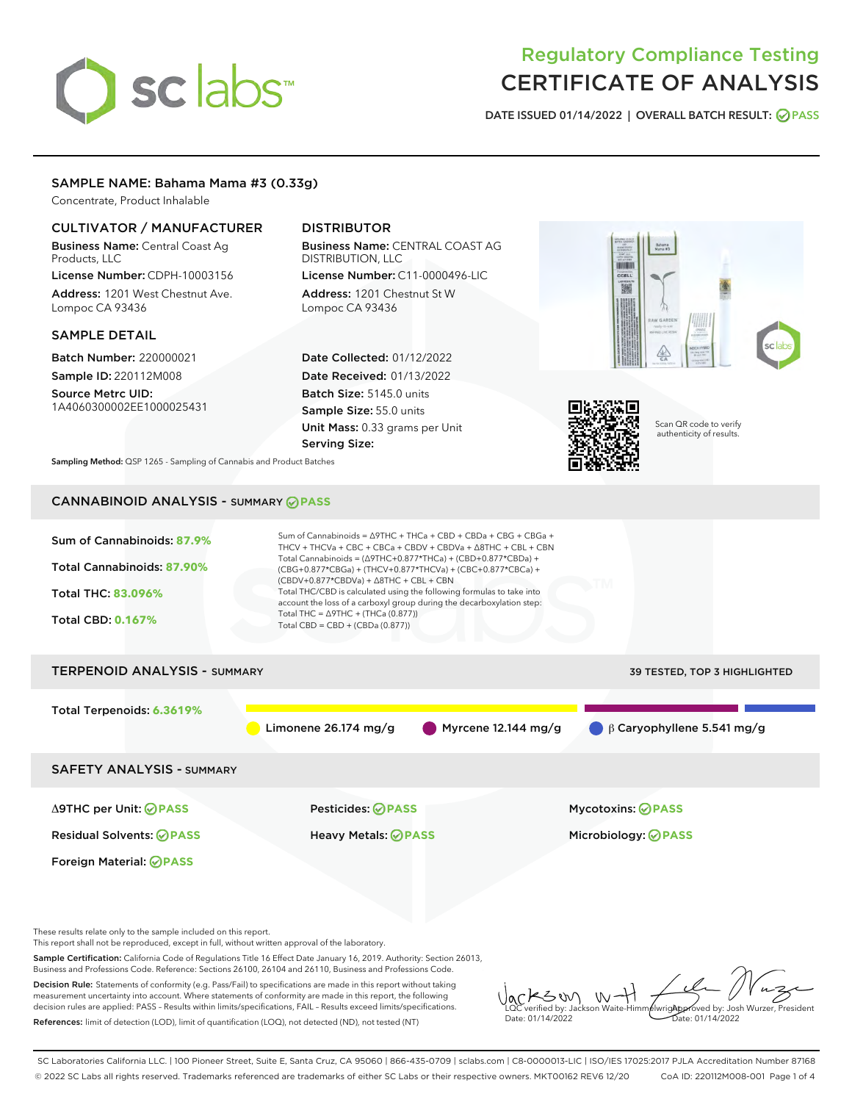# sclabs

# Regulatory Compliance Testing CERTIFICATE OF ANALYSIS

DATE ISSUED 01/14/2022 | OVERALL BATCH RESULT: @ PASS

# SAMPLE NAME: Bahama Mama #3 (0.33g)

Concentrate, Product Inhalable

# CULTIVATOR / MANUFACTURER

Business Name: Central Coast Ag Products, LLC License Number: CDPH-10003156

Address: 1201 West Chestnut Ave. Lompoc CA 93436

# SAMPLE DETAIL

Batch Number: 220000021 Sample ID: 220112M008

Source Metrc UID: 1A4060300002EE1000025431

# DISTRIBUTOR

Business Name: CENTRAL COAST AG DISTRIBUTION, LLC License Number: C11-0000496-LIC

Address: 1201 Chestnut St W Lompoc CA 93436

Date Collected: 01/12/2022 Date Received: 01/13/2022 Batch Size: 5145.0 units Sample Size: 55.0 units Unit Mass: 0.33 grams per Unit Serving Size:





Scan QR code to verify authenticity of results.

Sampling Method: QSP 1265 - Sampling of Cannabis and Product Batches

# CANNABINOID ANALYSIS - SUMMARY **PASS**



This report shall not be reproduced, except in full, without written approval of the laboratory.

Sample Certification: California Code of Regulations Title 16 Effect Date January 16, 2019. Authority: Section 26013, Business and Professions Code. Reference: Sections 26100, 26104 and 26110, Business and Professions Code.

Decision Rule: Statements of conformity (e.g. Pass/Fail) to specifications are made in this report without taking measurement uncertainty into account. Where statements of conformity are made in this report, the following decision rules are applied: PASS – Results within limits/specifications, FAIL – Results exceed limits/specifications. References: limit of detection (LOD), limit of quantification (LOQ), not detected (ND), not tested (NT)

KSW  $W$ **AlwrigApproved by: Josh Wurzer, President** LQC verified by: Jackson Waite-Himmelwright Date: 01/14/2022 Pate: 01/14/2022

SC Laboratories California LLC. | 100 Pioneer Street, Suite E, Santa Cruz, CA 95060 | 866-435-0709 | sclabs.com | C8-0000013-LIC | ISO/IES 17025:2017 PJLA Accreditation Number 87168 © 2022 SC Labs all rights reserved. Trademarks referenced are trademarks of either SC Labs or their respective owners. MKT00162 REV6 12/20 CoA ID: 220112M008-001 Page 1 of 4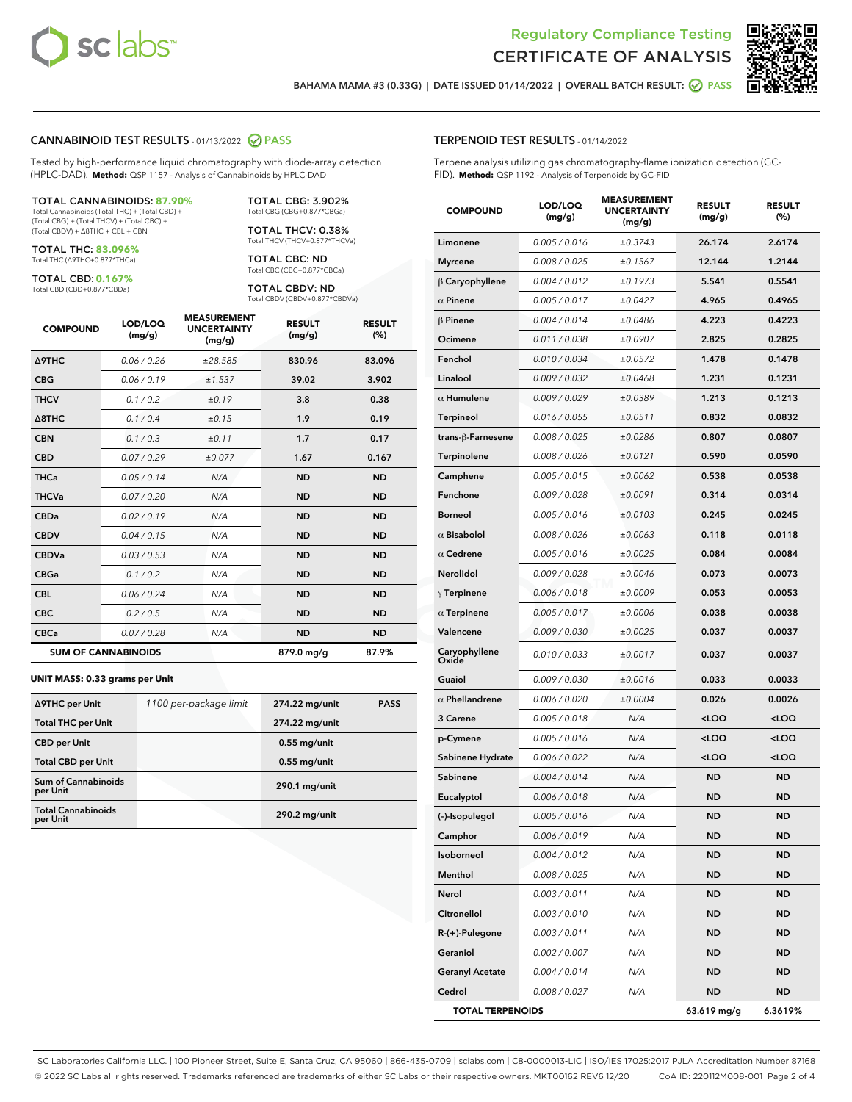



BAHAMA MAMA #3 (0.33G) | DATE ISSUED 01/14/2022 | OVERALL BATCH RESULT: 2 PASS

#### CANNABINOID TEST RESULTS - 01/13/2022 2 PASS

Tested by high-performance liquid chromatography with diode-array detection (HPLC-DAD). **Method:** QSP 1157 - Analysis of Cannabinoids by HPLC-DAD

#### TOTAL CANNABINOIDS: **87.90%**

Total Cannabinoids (Total THC) + (Total CBD) + (Total CBG) + (Total THCV) + (Total CBC) + (Total CBDV) + ∆8THC + CBL + CBN

TOTAL THC: **83.096%** Total THC (∆9THC+0.877\*THCa)

TOTAL CBD: **0.167%**

Total CBD (CBD+0.877\*CBDa)

TOTAL CBG: 3.902% Total CBG (CBG+0.877\*CBGa)

TOTAL THCV: 0.38% Total THCV (THCV+0.877\*THCVa)

TOTAL CBC: ND Total CBC (CBC+0.877\*CBCa)

TOTAL CBDV: ND Total CBDV (CBDV+0.877\*CBDVa)

| <b>COMPOUND</b>  | LOD/LOQ<br>(mg/g)          | <b>MEASUREMENT</b><br><b>UNCERTAINTY</b><br>(mg/g) | <b>RESULT</b><br>(mg/g) | <b>RESULT</b><br>(%) |
|------------------|----------------------------|----------------------------------------------------|-------------------------|----------------------|
| <b>A9THC</b>     | 0.06 / 0.26                | ±28.585                                            | 830.96                  | 83.096               |
| <b>CBG</b>       | 0.06/0.19                  | ±1.537                                             | 39.02                   | 3.902                |
| <b>THCV</b>      | 0.1/0.2                    | ±0.19                                              | 3.8                     | 0.38                 |
| $\triangle$ 8THC | 0.1/0.4                    | ±0.15                                              | 1.9                     | 0.19                 |
| <b>CBN</b>       | 0.1/0.3                    | ±0.11                                              | 1.7                     | 0.17                 |
| <b>CBD</b>       | 0.07/0.29                  | ±0.077                                             | 1.67                    | 0.167                |
| <b>THCa</b>      | 0.05/0.14                  | N/A                                                | <b>ND</b>               | <b>ND</b>            |
| <b>THCVa</b>     | 0.07/0.20                  | N/A                                                | <b>ND</b>               | <b>ND</b>            |
| <b>CBDa</b>      | 0.02/0.19                  | N/A                                                | <b>ND</b>               | <b>ND</b>            |
| <b>CBDV</b>      | 0.04 / 0.15                | N/A                                                | <b>ND</b>               | <b>ND</b>            |
| <b>CBDVa</b>     | 0.03/0.53                  | N/A                                                | <b>ND</b>               | <b>ND</b>            |
| <b>CBGa</b>      | 0.1/0.2                    | N/A                                                | <b>ND</b>               | <b>ND</b>            |
| <b>CBL</b>       | 0.06/0.24                  | N/A                                                | <b>ND</b>               | <b>ND</b>            |
| <b>CBC</b>       | 0.2 / 0.5                  | N/A                                                | <b>ND</b>               | <b>ND</b>            |
| <b>CBCa</b>      | 0.07/0.28                  | N/A                                                | <b>ND</b>               | <b>ND</b>            |
|                  | <b>SUM OF CANNABINOIDS</b> |                                                    | 879.0 mg/g              | 87.9%                |

#### **UNIT MASS: 0.33 grams per Unit**

| ∆9THC per Unit                        | 1100 per-package limit | 274.22 mg/unit | <b>PASS</b> |
|---------------------------------------|------------------------|----------------|-------------|
| <b>Total THC per Unit</b>             |                        | 274.22 mg/unit |             |
| <b>CBD</b> per Unit                   |                        | $0.55$ mg/unit |             |
| <b>Total CBD per Unit</b>             |                        | $0.55$ mg/unit |             |
| Sum of Cannabinoids<br>per Unit       |                        | 290.1 mg/unit  |             |
| <b>Total Cannabinoids</b><br>per Unit |                        | 290.2 mg/unit  |             |

| <b>COMPOUND</b>        | LOD/LOQ<br>(mg/g) | <b>MEASUREMENT</b><br><b>UNCERTAINTY</b><br>(mg/g) | <b>RESULT</b><br>(mg/g)                         | <b>RESULT</b><br>(%) |
|------------------------|-------------------|----------------------------------------------------|-------------------------------------------------|----------------------|
| Limonene               | 0.005 / 0.016     | ±0.3743                                            | 26.174                                          | 2.6174               |
| <b>Myrcene</b>         | 0.008 / 0.025     | ±0.1567                                            | 12.144                                          | 1.2144               |
| B Caryophyllene        | 0.004 / 0.012     | ±0.1973                                            | 5.541                                           | 0.5541               |
| $\alpha$ Pinene        | 0.005 / 0.017     | ±0.0427                                            | 4.965                                           | 0.4965               |
| $\beta$ Pinene         | 0.004 / 0.014     | ±0.0486                                            | 4.223                                           | 0.4223               |
| Ocimene                | 0.011 / 0.038     | ±0.0907                                            | 2.825                                           | 0.2825               |
| Fenchol                | 0.010 / 0.034     | ±0.0572                                            | 1.478                                           | 0.1478               |
| Linalool               | 0.009 / 0.032     | ±0.0468                                            | 1.231                                           | 0.1231               |
| $\alpha$ Humulene      | 0.009 / 0.029     | ±0.0389                                            | 1.213                                           | 0.1213               |
| Terpineol              | 0.016 / 0.055     | ±0.0511                                            | 0.832                                           | 0.0832               |
| trans-ß-Farnesene      | 0.008 / 0.025     | ±0.0286                                            | 0.807                                           | 0.0807               |
| Terpinolene            | 0.008 / 0.026     | ±0.0121                                            | 0.590                                           | 0.0590               |
| Camphene               | 0.005 / 0.015     | ±0.0062                                            | 0.538                                           | 0.0538               |
| Fenchone               | 0.009 / 0.028     | ±0.0091                                            | 0.314                                           | 0.0314               |
| <b>Borneol</b>         | 0.005 / 0.016     | ±0.0103                                            | 0.245                                           | 0.0245               |
| $\alpha$ Bisabolol     | 0.008 / 0.026     | ±0.0063                                            | 0.118                                           | 0.0118               |
| $\alpha$ Cedrene       | 0.005 / 0.016     | ±0.0025                                            | 0.084                                           | 0.0084               |
| Nerolidol              | 0.009 / 0.028     | ±0.0046                                            | 0.073                                           | 0.0073               |
| $\gamma$ Terpinene     | 0.006 / 0.018     | ±0.0009                                            | 0.053                                           | 0.0053               |
| $\alpha$ Terpinene     | 0.005 / 0.017     | ±0.0006                                            | 0.038                                           | 0.0038               |
| Valencene              | 0.009 / 0.030     | ±0.0025                                            | 0.037                                           | 0.0037               |
| Caryophyllene<br>Oxide | 0.010 / 0.033     | ±0.0017                                            | 0.037                                           | 0.0037               |
| Guaiol                 | 0.009 / 0.030     | ±0.0016                                            | 0.033                                           | 0.0033               |
| $\alpha$ Phellandrene  | 0.006 / 0.020     | ±0.0004                                            | 0.026                                           | 0.0026               |
| 3 Carene               | 0.005 / 0.018     | N/A                                                | <loq< th=""><th><loq< th=""></loq<></th></loq<> | <loq< th=""></loq<>  |
| p-Cymene               | 0.005 / 0.016     | N/A                                                | <loq< th=""><th><loq< th=""></loq<></th></loq<> | <loq< th=""></loq<>  |
| Sabinene Hydrate       | 0.006 / 0.022     | N/A                                                | <loq< th=""><th><loq< th=""></loq<></th></loq<> | <loq< th=""></loq<>  |
| Sabinene               | 0.004 / 0.014     | N/A                                                | <b>ND</b>                                       | ND                   |
| Eucalyptol             | 0.006 / 0.018     | N/A                                                | <b>ND</b>                                       | <b>ND</b>            |
| (-)-Isopulegol         | 0.005 / 0.016     | N/A                                                | <b>ND</b>                                       | ND                   |
| Camphor                | 0.006 / 0.019     | N/A                                                | ND                                              | ND                   |
| Isoborneol             | 0.004 / 0.012     | N/A                                                | <b>ND</b>                                       | ND                   |
| Menthol                | 0.008 / 0.025     | N/A                                                | <b>ND</b>                                       | <b>ND</b>            |
| Nerol                  | 0.003 / 0.011     | N/A                                                | <b>ND</b>                                       | ND                   |
| Citronellol            | 0.003 / 0.010     | N/A                                                | ND                                              | ND                   |
| R-(+)-Pulegone         | 0.003 / 0.011     | N/A                                                | <b>ND</b>                                       | <b>ND</b>            |
| Geraniol               | 0.002 / 0.007     | N/A                                                | <b>ND</b>                                       | ND                   |
| <b>Geranyl Acetate</b> | 0.004 / 0.014     | N/A                                                | ND                                              | ND                   |
| Cedrol                 | 0.008 / 0.027     | N/A                                                | <b>ND</b>                                       | <b>ND</b>            |

TOTAL TERPENOIDS 63.619 mg/g 6.3619%

SC Laboratories California LLC. | 100 Pioneer Street, Suite E, Santa Cruz, CA 95060 | 866-435-0709 | sclabs.com | C8-0000013-LIC | ISO/IES 17025:2017 PJLA Accreditation Number 87168 © 2022 SC Labs all rights reserved. Trademarks referenced are trademarks of either SC Labs or their respective owners. MKT00162 REV6 12/20 CoA ID: 220112M008-001 Page 2 of 4

# TERPENOID TEST RESULTS - 01/14/2022

Terpene analysis utilizing gas chromatography-flame ionization detection (GC-FID). **Method:** QSP 1192 - Analysis of Terpenoids by GC-FID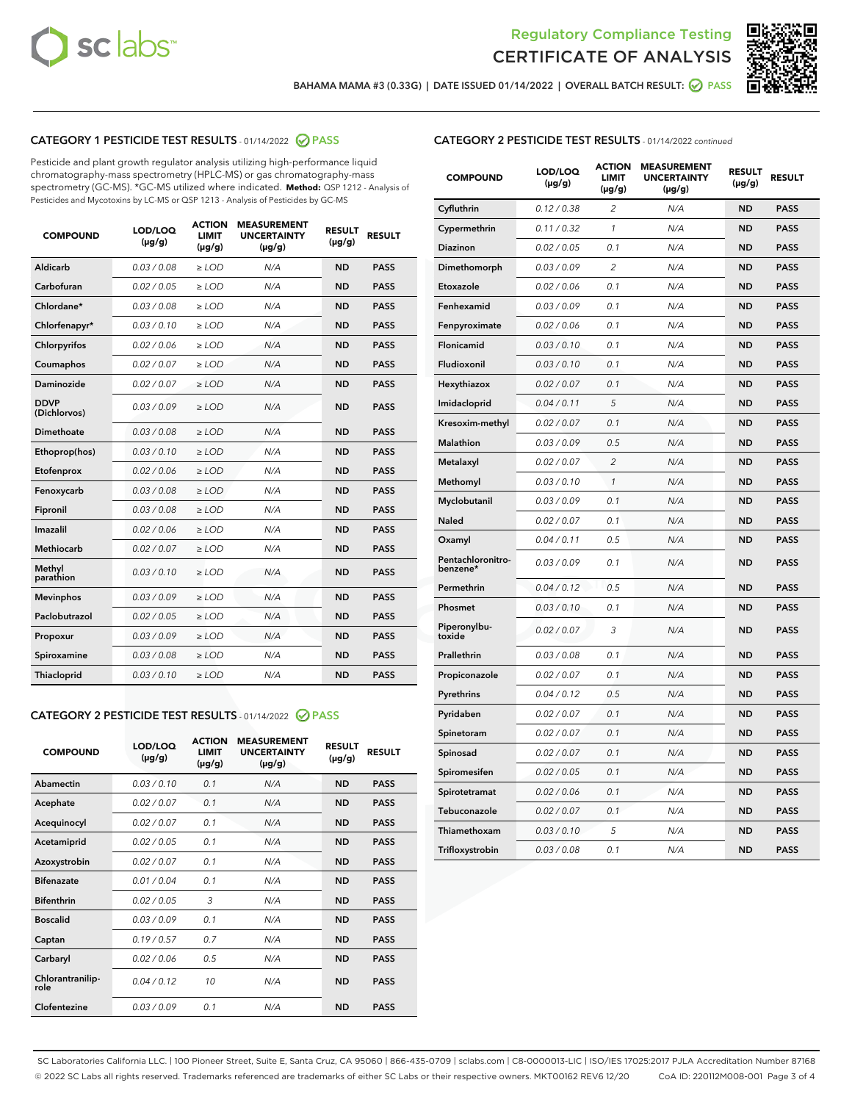



BAHAMA MAMA #3 (0.33G) | DATE ISSUED 01/14/2022 | OVERALL BATCH RESULT: @ PASS

# CATEGORY 1 PESTICIDE TEST RESULTS - 01/14/2022 2 PASS

Pesticide and plant growth regulator analysis utilizing high-performance liquid chromatography-mass spectrometry (HPLC-MS) or gas chromatography-mass spectrometry (GC-MS). \*GC-MS utilized where indicated. **Method:** QSP 1212 - Analysis of Pesticides and Mycotoxins by LC-MS or QSP 1213 - Analysis of Pesticides by GC-MS

| <b>COMPOUND</b>             | LOD/LOQ<br>$(\mu g/g)$ | <b>ACTION</b><br><b>LIMIT</b><br>$(\mu g/g)$ | <b>MEASUREMENT</b><br><b>UNCERTAINTY</b><br>$(\mu g/g)$ | <b>RESULT</b><br>$(\mu g/g)$ | <b>RESULT</b> |
|-----------------------------|------------------------|----------------------------------------------|---------------------------------------------------------|------------------------------|---------------|
| Aldicarb                    | 0.03/0.08              | $>$ LOD                                      | N/A                                                     | <b>ND</b>                    | <b>PASS</b>   |
| Carbofuran                  | 0.02 / 0.05            | $\ge$ LOD                                    | N/A                                                     | <b>ND</b>                    | <b>PASS</b>   |
| Chlordane*                  | 0.03/0.08              | $>$ LOD                                      | N/A                                                     | <b>ND</b>                    | <b>PASS</b>   |
| Chlorfenapyr*               | 0.03/0.10              | $\ge$ LOD                                    | N/A                                                     | <b>ND</b>                    | <b>PASS</b>   |
| Chlorpyrifos                | 0.02 / 0.06            | $\ge$ LOD                                    | N/A                                                     | <b>ND</b>                    | <b>PASS</b>   |
| Coumaphos                   | 0.02 / 0.07            | $\ge$ LOD                                    | N/A                                                     | <b>ND</b>                    | <b>PASS</b>   |
| Daminozide                  | 0.02 / 0.07            | $\ge$ LOD                                    | N/A                                                     | <b>ND</b>                    | <b>PASS</b>   |
| <b>DDVP</b><br>(Dichlorvos) | 0.03/0.09              | $\ge$ LOD                                    | N/A                                                     | <b>ND</b>                    | <b>PASS</b>   |
| <b>Dimethoate</b>           | 0.03 / 0.08            | $\ge$ LOD                                    | N/A                                                     | <b>ND</b>                    | <b>PASS</b>   |
| Ethoprop(hos)               | 0.03/0.10              | $\ge$ LOD                                    | N/A                                                     | <b>ND</b>                    | <b>PASS</b>   |
| Etofenprox                  | 0.02 / 0.06            | $\ge$ LOD                                    | N/A                                                     | <b>ND</b>                    | <b>PASS</b>   |
| Fenoxycarb                  | 0.03 / 0.08            | $\ge$ LOD                                    | N/A                                                     | <b>ND</b>                    | <b>PASS</b>   |
| Fipronil                    | 0.03/0.08              | $>$ LOD                                      | N/A                                                     | <b>ND</b>                    | <b>PASS</b>   |
| Imazalil                    | 0.02 / 0.06            | $\ge$ LOD                                    | N/A                                                     | <b>ND</b>                    | <b>PASS</b>   |
| Methiocarb                  | 0.02 / 0.07            | $\ge$ LOD                                    | N/A                                                     | <b>ND</b>                    | <b>PASS</b>   |
| Methyl<br>parathion         | 0.03/0.10              | $\ge$ LOD                                    | N/A                                                     | <b>ND</b>                    | <b>PASS</b>   |
| <b>Mevinphos</b>            | 0.03/0.09              | $\ge$ LOD                                    | N/A                                                     | <b>ND</b>                    | <b>PASS</b>   |
| Paclobutrazol               | 0.02 / 0.05            | $>$ LOD                                      | N/A                                                     | <b>ND</b>                    | <b>PASS</b>   |
| Propoxur                    | 0.03/0.09              | $\ge$ LOD                                    | N/A                                                     | <b>ND</b>                    | <b>PASS</b>   |
| Spiroxamine                 | 0.03 / 0.08            | $\ge$ LOD                                    | N/A                                                     | <b>ND</b>                    | <b>PASS</b>   |
| Thiacloprid                 | 0.03/0.10              | $\ge$ LOD                                    | N/A                                                     | <b>ND</b>                    | <b>PASS</b>   |

# CATEGORY 2 PESTICIDE TEST RESULTS - 01/14/2022 2 PASS

| <b>COMPOUND</b>          | LOD/LOO<br>$(\mu g/g)$ | <b>ACTION</b><br>LIMIT<br>$(\mu g/g)$ | <b>MEASUREMENT</b><br><b>UNCERTAINTY</b><br>$(\mu g/g)$ | <b>RESULT</b><br>$(\mu g/g)$ | <b>RESULT</b> |  |
|--------------------------|------------------------|---------------------------------------|---------------------------------------------------------|------------------------------|---------------|--|
| Abamectin                | 0.03/0.10              | 0.1                                   | N/A                                                     | <b>ND</b>                    | <b>PASS</b>   |  |
| Acephate                 | 0.02/0.07              | 0.1                                   | N/A                                                     | <b>ND</b>                    | <b>PASS</b>   |  |
| Acequinocyl              | 0.02/0.07              | 0.1                                   | N/A                                                     | <b>ND</b>                    | <b>PASS</b>   |  |
| Acetamiprid              | 0.02/0.05              | 0.1                                   | N/A                                                     | <b>ND</b>                    | <b>PASS</b>   |  |
| Azoxystrobin             | 0.02/0.07              | 0.1                                   | N/A                                                     | <b>ND</b>                    | <b>PASS</b>   |  |
| <b>Bifenazate</b>        | 0.01 / 0.04            | 0.1                                   | N/A                                                     | <b>ND</b>                    | <b>PASS</b>   |  |
| <b>Bifenthrin</b>        | 0.02/0.05              | 3                                     | N/A                                                     | <b>ND</b>                    | <b>PASS</b>   |  |
| <b>Boscalid</b>          | 0.03/0.09              | 0.1                                   | N/A                                                     | <b>ND</b>                    | <b>PASS</b>   |  |
| Captan                   | 0.19/0.57              | 0.7                                   | N/A                                                     | <b>ND</b>                    | <b>PASS</b>   |  |
| Carbaryl                 | 0.02/0.06              | 0.5                                   | N/A                                                     | <b>ND</b>                    | <b>PASS</b>   |  |
| Chlorantranilip-<br>role | 0.04/0.12              | 10                                    | N/A                                                     | <b>ND</b>                    | <b>PASS</b>   |  |
| Clofentezine             | 0.03/0.09              | 0.1                                   | N/A                                                     | <b>ND</b>                    | <b>PASS</b>   |  |

| <b>COMPOUND</b>               | LOD/LOQ<br>$(\mu g/g)$ | <b>ACTION</b><br>LIMIT<br>(µg/g) | <b>MEASUREMENT</b><br><b>UNCERTAINTY</b><br>(µg/g) | <b>RESULT</b><br>$(\mu g/g)$ | <b>RESULT</b> |
|-------------------------------|------------------------|----------------------------------|----------------------------------------------------|------------------------------|---------------|
| Cyfluthrin                    | 0.12 / 0.38            | $\overline{2}$                   | N/A                                                | <b>ND</b>                    | <b>PASS</b>   |
| Cypermethrin                  | 0.11/0.32              | 1                                | N/A                                                | <b>ND</b>                    | <b>PASS</b>   |
| Diazinon                      | 0.02 / 0.05            | 0.1                              | N/A                                                | <b>ND</b>                    | <b>PASS</b>   |
| Dimethomorph                  | 0.03 / 0.09            | $\overline{2}$                   | N/A                                                | <b>ND</b>                    | <b>PASS</b>   |
| Etoxazole                     | 0.02 / 0.06            | 0.1                              | N/A                                                | <b>ND</b>                    | <b>PASS</b>   |
| Fenhexamid                    | 0.03 / 0.09            | 0.1                              | N/A                                                | <b>ND</b>                    | <b>PASS</b>   |
| Fenpyroximate                 | 0.02 / 0.06            | 0.1                              | N/A                                                | <b>ND</b>                    | <b>PASS</b>   |
| Flonicamid                    | 0.03 / 0.10            | 0.1                              | N/A                                                | <b>ND</b>                    | <b>PASS</b>   |
| Fludioxonil                   | 0.03 / 0.10            | 0.1                              | N/A                                                | <b>ND</b>                    | <b>PASS</b>   |
| Hexythiazox                   | 0.02 / 0.07            | 0.1                              | N/A                                                | <b>ND</b>                    | <b>PASS</b>   |
| Imidacloprid                  | 0.04 / 0.11            | 5                                | N/A                                                | <b>ND</b>                    | <b>PASS</b>   |
| Kresoxim-methyl               | 0.02 / 0.07            | 0.1                              | N/A                                                | <b>ND</b>                    | <b>PASS</b>   |
| Malathion                     | 0.03 / 0.09            | 0.5                              | N/A                                                | <b>ND</b>                    | <b>PASS</b>   |
| Metalaxyl                     | 0.02 / 0.07            | $\overline{c}$                   | N/A                                                | <b>ND</b>                    | <b>PASS</b>   |
| Methomyl                      | 0.03 / 0.10            | 1                                | N/A                                                | <b>ND</b>                    | <b>PASS</b>   |
| Myclobutanil                  | 0.03 / 0.09            | 0.1                              | N/A                                                | <b>ND</b>                    | <b>PASS</b>   |
| Naled                         | 0.02 / 0.07            | 0.1                              | N/A                                                | <b>ND</b>                    | <b>PASS</b>   |
| Oxamyl                        | 0.04 / 0.11            | 0.5                              | N/A                                                | ND                           | <b>PASS</b>   |
| Pentachloronitro-<br>benzene* | 0.03 / 0.09            | 0.1                              | N/A                                                | <b>ND</b>                    | <b>PASS</b>   |
| Permethrin                    | 0.04 / 0.12            | 0.5                              | N/A                                                | <b>ND</b>                    | <b>PASS</b>   |
| Phosmet                       | 0.03 / 0.10            | 0.1                              | N/A                                                | <b>ND</b>                    | <b>PASS</b>   |
| Piperonylbu-<br>toxide        | 0.02 / 0.07            | 3                                | N/A                                                | <b>ND</b>                    | <b>PASS</b>   |
| Prallethrin                   | 0.03 / 0.08            | 0.1                              | N/A                                                | <b>ND</b>                    | <b>PASS</b>   |
| Propiconazole                 | 0.02 / 0.07            | 0.1                              | N/A                                                | <b>ND</b>                    | <b>PASS</b>   |
| Pyrethrins                    | 0.04 / 0.12            | 0.5                              | N/A                                                | <b>ND</b>                    | <b>PASS</b>   |
| Pyridaben                     | 0.02 / 0.07            | 0.1                              | N/A                                                | <b>ND</b>                    | <b>PASS</b>   |
| Spinetoram                    | 0.02 / 0.07            | 0.1                              | N/A                                                | <b>ND</b>                    | <b>PASS</b>   |
| Spinosad                      | 0.02 / 0.07            | 0.1                              | N/A                                                | <b>ND</b>                    | <b>PASS</b>   |
| Spiromesifen                  | 0.02 / 0.05            | 0.1                              | N/A                                                | ND                           | <b>PASS</b>   |
| Spirotetramat                 | 0.02 / 0.06            | 0.1                              | N/A                                                | <b>ND</b>                    | <b>PASS</b>   |
| Tebuconazole                  | 0.02 / 0.07            | 0.1                              | N/A                                                | <b>ND</b>                    | <b>PASS</b>   |
| Thiamethoxam                  | 0.03 / 0.10            | 5                                | N/A                                                | <b>ND</b>                    | <b>PASS</b>   |
| Trifloxystrobin               | 0.03 / 0.08            | 0.1                              | N/A                                                | <b>ND</b>                    | <b>PASS</b>   |

SC Laboratories California LLC. | 100 Pioneer Street, Suite E, Santa Cruz, CA 95060 | 866-435-0709 | sclabs.com | C8-0000013-LIC | ISO/IES 17025:2017 PJLA Accreditation Number 87168 © 2022 SC Labs all rights reserved. Trademarks referenced are trademarks of either SC Labs or their respective owners. MKT00162 REV6 12/20 CoA ID: 220112M008-001 Page 3 of 4